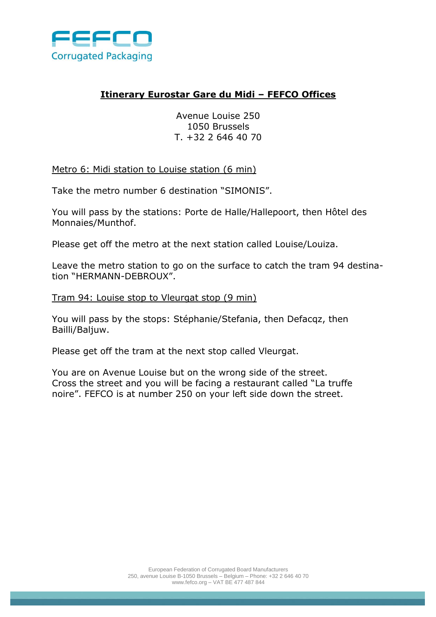

## **Itinerary Eurostar Gare du Midi – FEFCO Offices**

Avenue Louise 250 1050 Brussels T. +32 2 646 40 70

Metro 6: Midi station to Louise station (6 min)

Take the metro number 6 destination "SIMONIS".

You will pass by the stations: Porte de Halle/Hallepoort, then Hôtel des Monnaies/Munthof.

Please get off the metro at the next station called Louise/Louiza.

Leave the metro station to go on the surface to catch the tram 94 destination "HERMANN-DEBROUX".

Tram 94: Louise stop to Vleurgat stop (9 min)

You will pass by the stops: Stéphanie/Stefania, then Defacqz, then Bailli/Baljuw.

Please get off the tram at the next stop called Vleurgat.

You are on Avenue Louise but on the wrong side of the street. Cross the street and you will be facing a restaurant called "La truffe noire". FEFCO is at number 250 on your left side down the street.